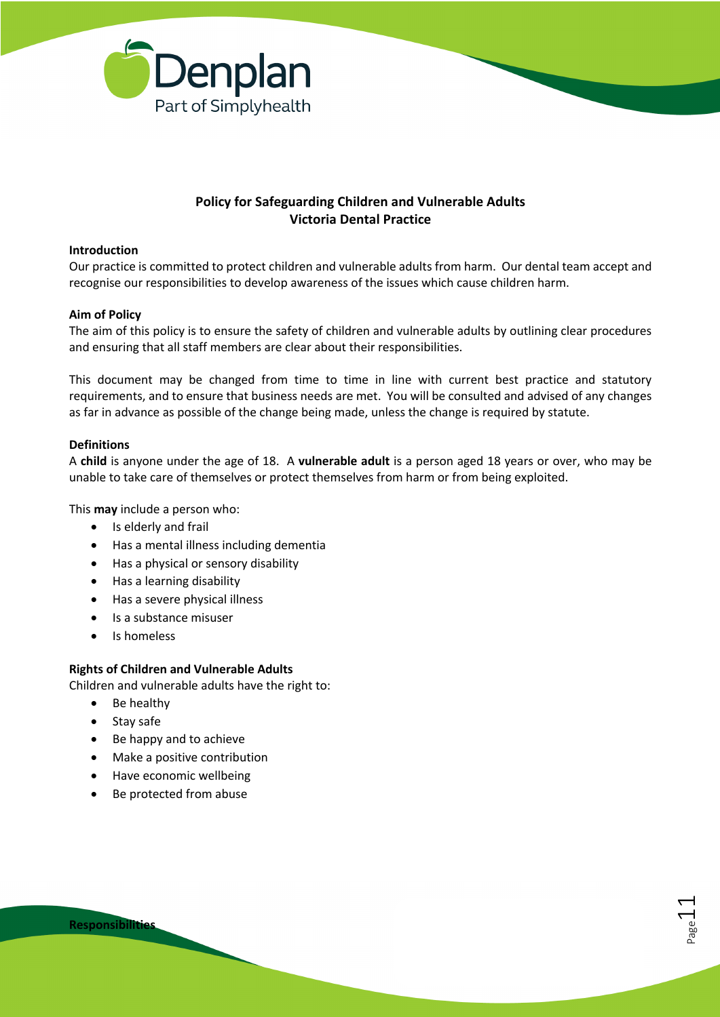

# **Policy for Safeguarding Children and Vulnerable Adults Victoria Dental Practice**

#### **Introduction**

Our practice is committed to protect children and vulnerable adults from harm. Our dental team accept and recognise our responsibilities to develop awareness of the issues which cause children harm.

#### **Aim of Policy**

The aim of this policy is to ensure the safety of children and vulnerable adults by outlining clear procedures and ensuring that all staff members are clear about their responsibilities.

This document may be changed from time to time in line with current best practice and statutory requirements, and to ensure that business needs are met. You will be consulted and advised of any changes as far in advance as possible of the change being made, unless the change is required by statute.

#### **Definitions**

A **child** is anyone under the age of 18. A **vulnerable adult** is a person aged 18 years or over, who may be unable to take care of themselves or protect themselves from harm or from being exploited.

Page11

This **may** include a person who:

- Is elderly and frail
- Has a mental illness including dementia
- Has a physical or sensory disability
- Has a learning disability
- Has a severe physical illness
- Is a substance misuser
- Is homeless

#### **Rights of Children and Vulnerable Adults**

Children and vulnerable adults have the right to:

- Be healthy
- Stay safe
- Be happy and to achieve
- Make a positive contribution
- Have economic wellbeing
- Be protected from abuse

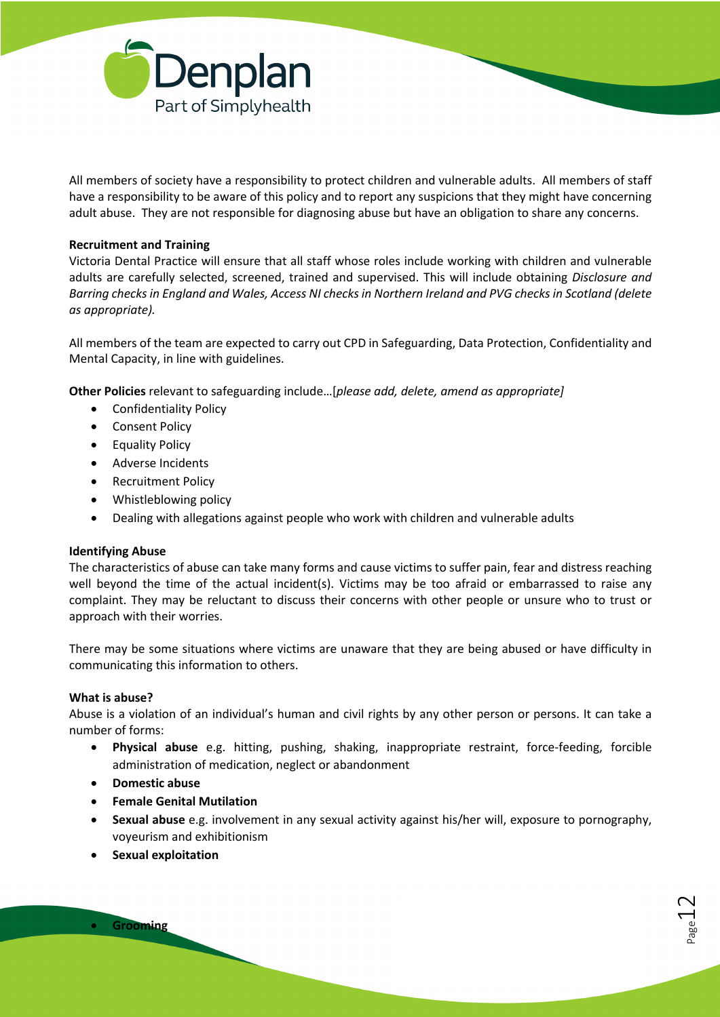

All members of society have a responsibility to protect children and vulnerable adults. All members of staff have a responsibility to be aware of this policy and to report any suspicions that they might have concerning adult abuse. They are not responsible for diagnosing abuse but have an obligation to share any concerns.

## **Recruitment and Training**

Victoria Dental Practice will ensure that all staff whose roles include working with children and vulnerable adults are carefully selected, screened, trained and supervised. This will include obtaining *Disclosure and Barring checks in England and Wales, Access NI checks in Northern Ireland and PVG checks in Scotland (delete as appropriate).*

All members of the team are expected to carry out CPD in Safeguarding, Data Protection, Confidentiality and Mental Capacity, in line with guidelines.

**Other Policies** relevant to safeguarding include…[*please add, delete, amend as appropriate]*

- Confidentiality Policy
- Consent Policy
- Equality Policy
- Adverse Incidents
- Recruitment Policy
- Whistleblowing policy
- Dealing with allegations against people who work with children and vulnerable adults

## **Identifying Abuse**

The characteristics of abuse can take many forms and cause victims to suffer pain, fear and distress reaching well beyond the time of the actual incident(s). Victims may be too afraid or embarrassed to raise any complaint. They may be reluctant to discuss their concerns with other people or unsure who to trust or approach with their worries.

There may be some situations where victims are unaware that they are being abused or have difficulty in communicating this information to others.

## **What is abuse?**

Abuse is a violation of an individual's human and civil rights by any other person or persons. It can take a number of forms:

- **Physical abuse** e.g. hitting, pushing, shaking, inappropriate restraint, force-feeding, forcible administration of medication, neglect or abandonment
- **Domestic abuse**
- **Female Genital Mutilation**
- **Sexual abuse** e.g. involvement in any sexual activity against his/her will, exposure to pornography, voyeurism and exhibitionism
- **Sexual exploitation**

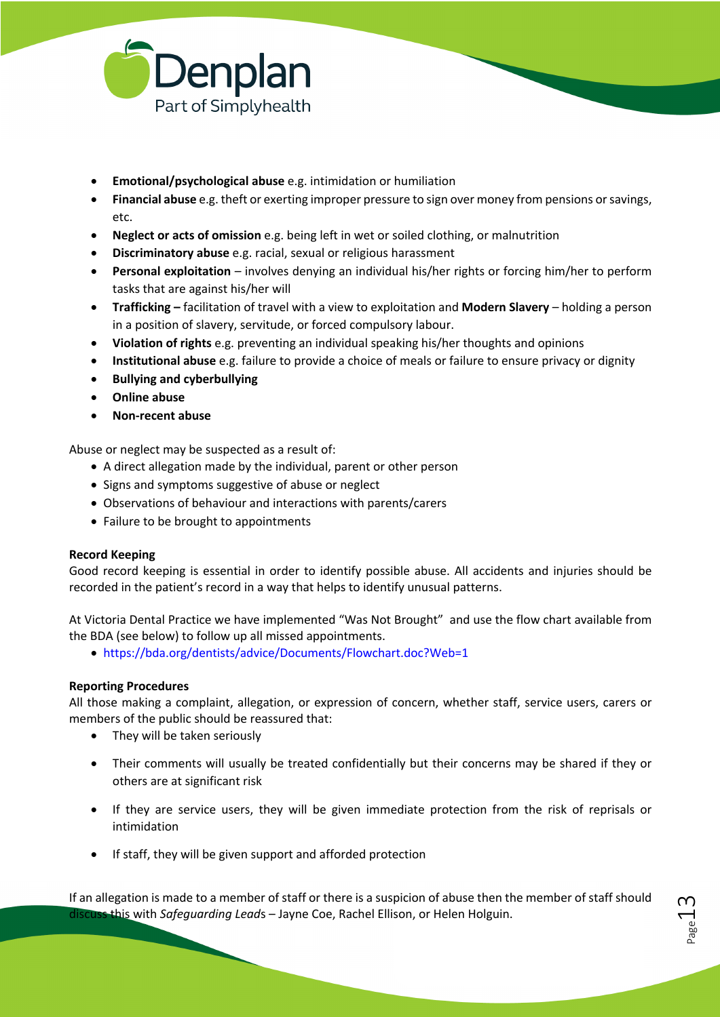

- **Emotional/psychological abuse** e.g. intimidation or humiliation
- **Financial abuse** e.g. theft or exerting improper pressure to sign over money from pensions or savings, etc.
- **Neglect or acts of omission** e.g. being left in wet or soiled clothing, or malnutrition
- **Discriminatory abuse** e.g. racial, sexual or religious harassment
- **Personal exploitation** involves denying an individual his/her rights or forcing him/her to perform tasks that are against his/her will
- **Trafficking –** facilitation of travel with a view to exploitation and **Modern Slavery**  holding a person in a position of slavery, servitude, or forced compulsory labour.
- **Violation of rights** e.g. preventing an individual speaking his/her thoughts and opinions
- **Institutional abuse** e.g. failure to provide a choice of meals or failure to ensure privacy or dignity
- **Bullying and cyberbullying**
- **Online abuse**
- **Non-recent abuse**

Abuse or neglect may be suspected as a result of:

- A direct allegation made by the individual, parent or other person
- Signs and symptoms suggestive of abuse or neglect
- Observations of behaviour and interactions with parents/carers
- Failure to be brought to appointments

## **Record Keeping**

Good record keeping is essential in order to identify possible abuse. All accidents and injuries should be recorded in the patient's record in a way that helps to identify unusual patterns.

At Victoria Dental Practice we have implemented "Was Not Brought" and use the flow chart available from the BDA (see below) to follow up all missed appointments.

• https://bda.org/dentists/advice/Documents/Flowchart.doc?Web=1

## **Reporting Procedures**

All those making a complaint, allegation, or expression of concern, whether staff, service users, carers or members of the public should be reassured that:

- They will be taken seriously
- Their comments will usually be treated confidentially but their concerns may be shared if they or others are at significant risk
- If they are service users, they will be given immediate protection from the risk of reprisals or intimidation
- If staff, they will be given support and afforded protection

If an allegation is made to a member of staff or there is a suspicion of abuse then the member of staff should discuss this with *Safeguarding Lead*s – Jayne Coe, Rachel Ellison, or Helen Holguin.

Page13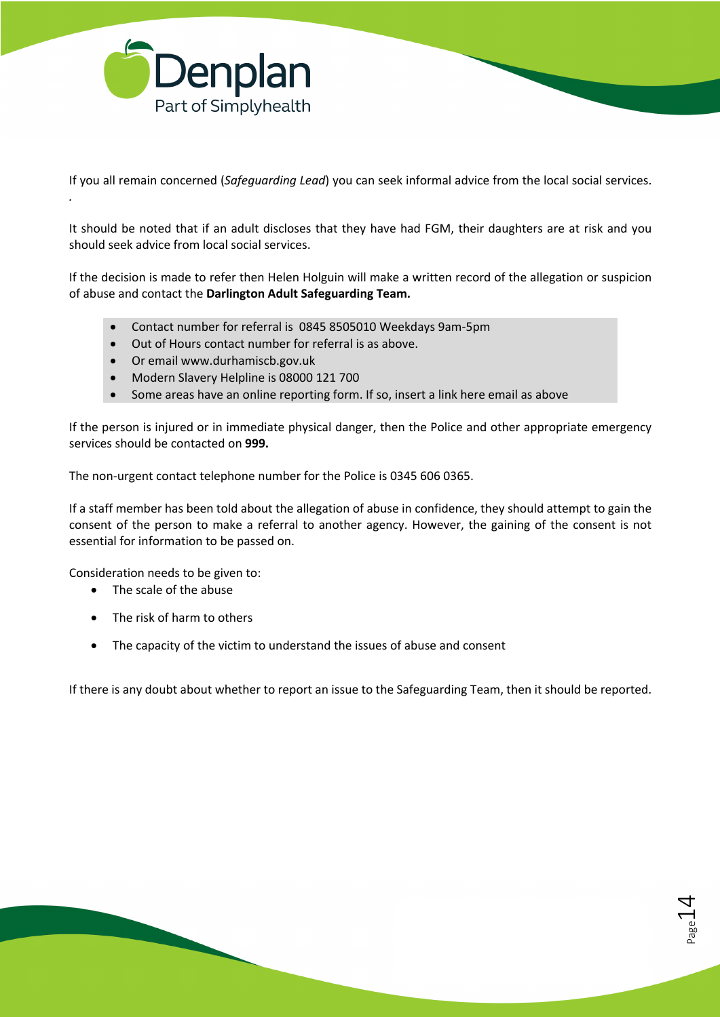

*.*

If you all remain concerned (*Safeguarding Lead*) you can seek informal advice from the local social services.

It should be noted that if an adult discloses that they have had FGM, their daughters are at risk and you should seek advice from local social services.

If the decision is made to refer then Helen Holguin will make a written record of the allegation or suspicion of abuse and contact the **Darlington Adult Safeguarding Team.**

- Contact number for referral is 0845 8505010 Weekdays 9am-5pm
- Out of Hours contact number for referral is as above.
- Or email www.durhamiscb.gov.uk
- Modern Slavery Helpline is 08000 121 700
- Some areas have an online reporting form. If so, insert a link here email as above

If the person is injured or in immediate physical danger, then the Police and other appropriate emergency services should be contacted on **999.**

The non-urgent contact telephone number for the Police is 0345 606 0365.

If a staff member has been told about the allegation of abuse in confidence, they should attempt to gain the consent of the person to make a referral to another agency. However, the gaining of the consent is not essential for information to be passed on.

Consideration needs to be given to:

- The scale of the abuse
- The risk of harm to others
- The capacity of the victim to understand the issues of abuse and consent

If there is any doubt about whether to report an issue to the Safeguarding Team, then it should be reported.